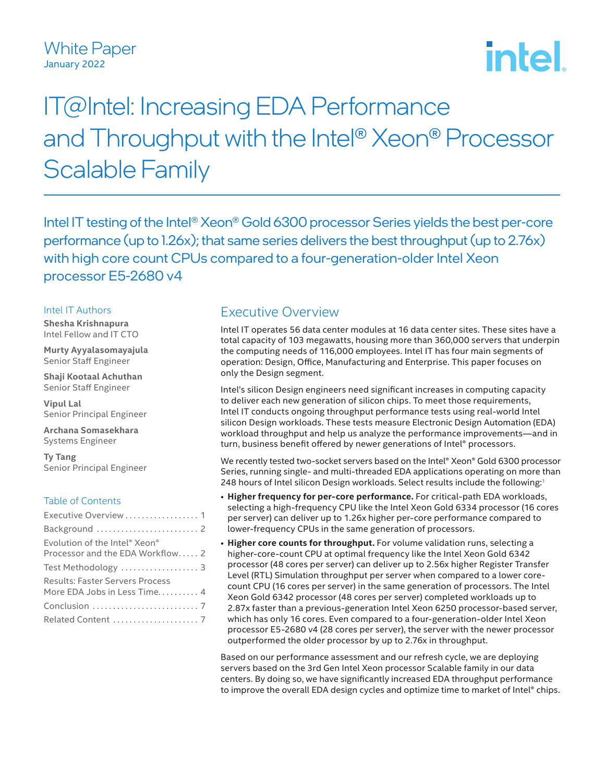## White Paper January 2022

# **intel**

## IT@Intel: Increasing EDA Performance and Throughput with the Intel® Xeon® Processor Scalable Family

Intel IT testing of the Intel® Xeon® Gold 6300 processor Series yields the best per-core performance (up to 1.26x); that same series delivers the best throughput (up to 2.76x) with high core count CPUs compared to a four-generation-older Intel Xeon processor E5-2680 v4

#### Intel IT Authors

**Shesha Krishnapura** Intel Fellow and IT CTO

**Murty Ayyalasomayajula** Senior Staff Engineer

**Shaji Kootaal Achuthan** Senior Staff Engineer

**Vipul Lal** Senior Principal Engineer

**Archana Somasekhara** Systems Engineer

**Ty Tang** Senior Principal Engineer

#### Table of Contents

| Executive Overview  1                                 |  |
|-------------------------------------------------------|--|
|                                                       |  |
| Evolution of the Intel <sup>®</sup> Xeon <sup>®</sup> |  |
| Processor and the EDA Workflow2                       |  |
| Test Methodology  3                                   |  |
| <b>Results: Faster Servers Process</b>                |  |
| More EDA Jobs in Less Time 4                          |  |
|                                                       |  |
|                                                       |  |

## Executive Overview

Intel IT operates 56 data center modules at 16 data center sites. These sites have a total capacity of 103 megawatts, housing more than 360,000 servers that underpin the computing needs of 116,000 employees. Intel IT has four main segments of operation: Design, Office, Manufacturing and Enterprise. This paper focuses on only the Design segment.

Intel's silicon Design engineers need significant increases in computing capacity to deliver each new generation of silicon chips. To meet those requirements, Intel IT conducts ongoing throughput performance tests using real-world Intel silicon Design workloads. These tests measure Electronic Design Automation (EDA) workload throughput and help us analyze the performance improvements—and in turn, business benefit offered by newer generations of Intel® processors.

We recently tested two-socket servers based on the Intel® Xeon® Gold 6300 processor Series, running single- and multi-threaded EDA applications operating on more than 248 hours of Intel silicon Design workloads. Select results include the following:[1](#page-6-0)

- **Higher frequency for per-core performance.** For critical-path EDA workloads, selecting a high-frequency CPU like the Intel Xeon Gold 6334 processor (16 cores per server) can deliver up to 1.26x higher per-core performance compared to lower-frequency CPUs in the same generation of processors.
- **Higher core counts for throughput.** For volume validation runs, selecting a higher-core-count CPU at optimal frequency like the Intel Xeon Gold 6342 processor (48 cores per server) can deliver up to 2.56x higher Register Transfer Level (RTL) Simulation throughput per server when compared to a lower corecount CPU (16 cores per server) in the same generation of processors. The Intel Xeon Gold 6342 processor (48 cores per server) completed workloads up to 2.87x faster than a previous-generation Intel Xeon 6250 processor-based server, which has only 16 cores. Even compared to a four-generation-older Intel Xeon processor E5‑2680 v4 (28 cores per server), the server with the newer processor outperformed the older processor by up to 2.76x in throughput.

Based on our performance assessment and our refresh cycle, we are deploying servers based on the 3rd Gen Intel Xeon processor Scalable family in our data centers. By doing so, we have significantly increased EDA throughput performance to improve the overall EDA design cycles and optimize time to market of Intel® chips.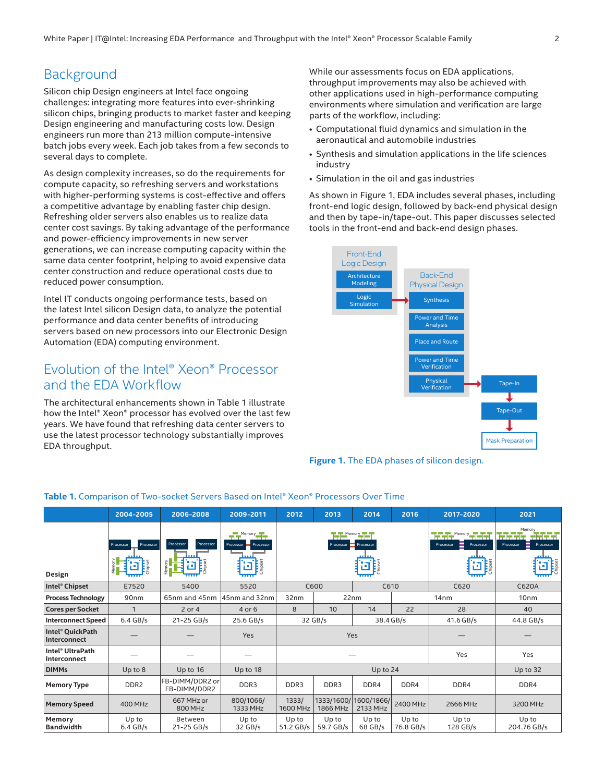## <span id="page-1-0"></span>**Background**

Silicon chip Design engineers at Intel face ongoing challenges: integrating more features into ever-shrinking silicon chips, bringing products to market faster and keeping Design engineering and manufacturing costs low. Design engineers run more than 213 million compute-intensive batch jobs every week. Each job takes from a few seconds to several days to complete.

As design complexity increases, so do the requirements for compute capacity, so refreshing servers and workstations with higher-performing systems is cost-effective and offers a competitive advantage by enabling faster chip design. Refreshing older servers also enables us to realize data center cost savings. By taking advantage of the performance and power-efficiency improvements in new server generations, we can increase computing capacity within the same data center footprint, helping to avoid expensive data center construction and reduce operational costs due to reduced power consumption.

Intel IT conducts ongoing performance tests, based on the latest Intel silicon Design data, to analyze the potential performance and data center benefits of introducing servers based on new processors into our Electronic Design Automation (EDA) computing environment.

## Evolution of the Intel® Xeon® Processor and the EDA Workflow

The architectural enhancements shown in Table 1 illustrate how the Intel® Xeon® processor has evolved over the last few years. We have found that refreshing data center servers to use the latest processor technology substantially improves EDA throughput.

While our assessments focus on EDA applications, throughput improvements may also be achieved with other applications used in high-performance computing environments where simulation and verification are large parts of the workflow, including:

- Computational fluid dynamics and simulation in the aeronautical and automobile industries
- Synthesis and simulation applications in the life sciences industry
- Simulation in the oil and gas industries

As shown in Figure 1, EDA includes several phases, including front-end logic design, followed by back-end physical design and then by tape-in/tape-out. This paper discusses selected tools in the front-end and back-end design phases.



**Figure 1.** The EDA phases of silicon design.

|                                              | 2004-2005                                         | 2006-2008                        | 2009-2011                                                               | 2012                                             | 2013                         | 2014                             | 2016               | 2017-2020                                                                                                                                                                                                                                                                                                                                                                                                                  | 2021                                                                                       |  |
|----------------------------------------------|---------------------------------------------------|----------------------------------|-------------------------------------------------------------------------|--------------------------------------------------|------------------------------|----------------------------------|--------------------|----------------------------------------------------------------------------------------------------------------------------------------------------------------------------------------------------------------------------------------------------------------------------------------------------------------------------------------------------------------------------------------------------------------------------|--------------------------------------------------------------------------------------------|--|
| Design                                       | Processor<br>Processor<br>ξ<br>Chipset<br>اع<br>ا | Processor<br>Processor<br>Memory | $\frac{1}{2}$ <sup>Memory</sup><br>Processor =<br>Processor<br>Få<br>p. | <b>THE Memory FILE</b><br>Processor<br>Processor |                              |                                  |                    | $\begin{picture}(20,10) \put(0,0){\line(1,0){10}} \put(15,0){\line(1,0){10}} \put(15,0){\line(1,0){10}} \put(15,0){\line(1,0){10}} \put(15,0){\line(1,0){10}} \put(15,0){\line(1,0){10}} \put(15,0){\line(1,0){10}} \put(15,0){\line(1,0){10}} \put(15,0){\line(1,0){10}} \put(15,0){\line(1,0){10}} \put(15,0){\line(1,0){10}} \put(15,0){\line(1$<br>اضاضاض<br>Processor<br>Processor<br><b>Frieset</b><br>Chipset<br>Ŀ. | Memory<br>الشاش لشائف الفاش لفاش<br>▤<br>Processor<br>Processor<br>Chipset<br>Chipset<br>ш |  |
| Intel <sup>®</sup> Chipset                   | E7520                                             | 5400                             | 5520                                                                    | C600                                             |                              | C610                             |                    | C620                                                                                                                                                                                                                                                                                                                                                                                                                       | C620A                                                                                      |  |
| <b>Process Technology</b>                    | 90nm                                              | 65nm and 45nm                    | 45nm and 32nm                                                           | 32nm<br>22nm                                     |                              |                                  |                    | 14nm                                                                                                                                                                                                                                                                                                                                                                                                                       | 10 <sub>nm</sub>                                                                           |  |
| <b>Cores per Socket</b>                      | $\mathbf{1}$                                      | 2 or 4                           | 4 or 6                                                                  | 8                                                | 22<br>28<br>10<br>14         |                                  |                    | 40                                                                                                                                                                                                                                                                                                                                                                                                                         |                                                                                            |  |
| <b>Interconnect Speed</b>                    | $6.4$ GB/s                                        | 21-25 GB/s                       | 25.6 GB/s                                                               | 32 GB/s                                          |                              | 38.4 GB/s                        |                    | 41.6 GB/s                                                                                                                                                                                                                                                                                                                                                                                                                  | 44.8 GB/s                                                                                  |  |
| Intel <sup>®</sup> QuickPath<br>Interconnect |                                                   |                                  | Yes                                                                     | Yes                                              |                              |                                  |                    |                                                                                                                                                                                                                                                                                                                                                                                                                            |                                                                                            |  |
| Intel <sup>®</sup> UltraPath<br>Interconnect |                                                   |                                  |                                                                         |                                                  |                              |                                  | Yes                | Yes                                                                                                                                                                                                                                                                                                                                                                                                                        |                                                                                            |  |
| <b>DIMMs</b>                                 | Up to $8$                                         | Up to 16                         | Up to 18                                                                |                                                  | Up to 32                     |                                  |                    |                                                                                                                                                                                                                                                                                                                                                                                                                            |                                                                                            |  |
| <b>Memory Type</b>                           | DDR <sub>2</sub>                                  | FB-DIMM/DDR2 or<br>FB-DIMM/DDR2  | DDR3                                                                    | DDR3                                             | DDR3<br>DDR4<br>DDR4<br>DDR4 |                                  | DDR4               |                                                                                                                                                                                                                                                                                                                                                                                                                            |                                                                                            |  |
| <b>Memory Speed</b>                          | 400 MHz                                           | 667 MHz or<br>800 MHz            | 800/1066/<br>1333 MHz                                                   | 1333/<br>1600 MHz                                | 1866 MHz                     | 1333/1600/1600/1866/<br>2133 MHz | 2400 MHz           | 2666 MHz                                                                                                                                                                                                                                                                                                                                                                                                                   | 3200 MHz                                                                                   |  |
| Memory<br><b>Bandwidth</b>                   | Up to<br>$6.4$ GB/s                               | <b>Between</b><br>21-25 GB/s     | Up to<br>32 GB/s                                                        | Up to<br>51.2 GB/s                               | Up to<br>59.7 GB/s           | Up to<br>68 GB/s                 | Up to<br>76.8 GB/s | Up to<br>128 GB/s                                                                                                                                                                                                                                                                                                                                                                                                          | Up to<br>204.76 GB/s                                                                       |  |

#### **Table 1.** Comparison of Two-socket Servers Based on Intel® Xeon® Processors Over Time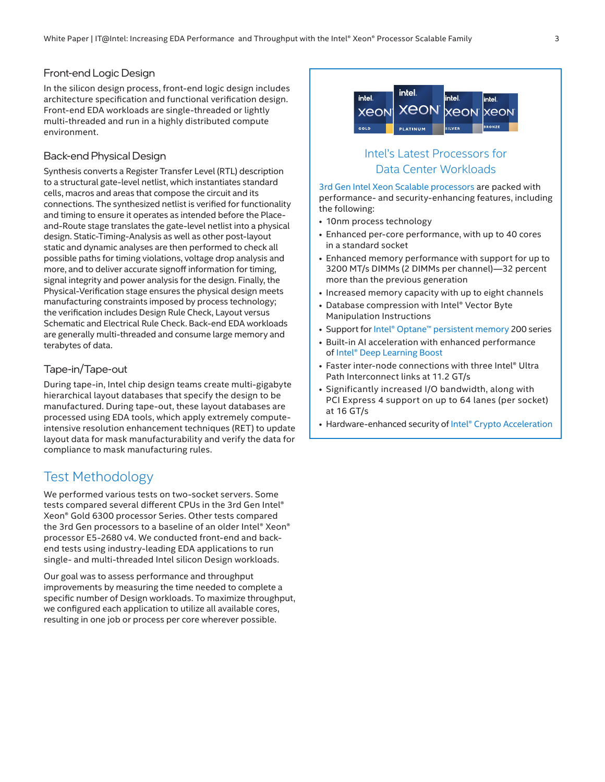#### <span id="page-2-0"></span>Front-end Logic Design

In the silicon design process, front-end logic design includes architecture specification and functional verification design. Front-end EDA workloads are single-threaded or lightly multi-threaded and run in a highly distributed compute environment.

#### Back-end Physical Design

Synthesis converts a Register Transfer Level (RTL) description to a structural gate-level netlist, which instantiates standard cells, macros and areas that compose the circuit and its connections. The synthesized netlist is verified for functionality and timing to ensure it operates as intended before the Placeand-Route stage translates the gate-level netlist into a physical design. Static-Timing-Analysis as well as other post-layout static and dynamic analyses are then performed to check all possible paths for timing violations, voltage drop analysis and more, and to deliver accurate signoff information for timing, signal integrity and power analysis for the design. Finally, the Physical-Verification stage ensures the physical design meets manufacturing constraints imposed by process technology; the verification includes Design Rule Check, Layout versus Schematic and Electrical Rule Check. Back-end EDA workloads are generally multi-threaded and consume large memory and terabytes of data.

#### Tape-in/Tape-out

During tape-in, Intel chip design teams create multi-gigabyte hierarchical layout databases that specify the design to be manufactured. During tape-out, these layout databases are processed using EDA tools, which apply extremely computeintensive resolution enhancement techniques (RET) to update layout data for mask manufacturability and verify the data for compliance to mask manufacturing rules.

## Test Methodology

We performed various tests on two-socket servers. Some tests compared several different CPUs in the 3rd Gen Intel® Xeon® Gold 6300 processor Series. Other tests compared the 3rd Gen processors to a baseline of an older Intel® Xeon® processor E5-2680 v4. We conducted front-end and backend tests using industry-leading EDA applications to run single- and multi-threaded Intel silicon Design workloads.

Our goal was to assess performance and throughput improvements by measuring the time needed to complete a specific number of Design workloads. To maximize throughput, we configured each application to utilize all available cores, resulting in one job or process per core wherever possible.



## Intel's Latest Processors for Data Center Workloads

[3rd Gen Intel Xeon Scalable processors](https://www.intel.com/content/www/us/en/newsroom/news/3rd-gen-xeon-scalable-processors.html#gs.k8djhc) are packed with performance- and security-enhancing features, including the following:

- 10nm process technology
- Enhanced per-core performance, with up to 40 cores in a standard socket
- Enhanced memory performance with support for up to 3200 MT/s DIMMs (2 DIMMs per channel)—32 percent more than the previous generation
- Increased memory capacity with up to eight channels
- Database compression with Intel® Vector Byte Manipulation Instructions
- Support for [Intel® Optane™ persistent memory](https://www.intel.com/content/dam/www/public/us/en/documents/product-briefs/optane-persistent-memory-200-series-brief.pdf) 200 series
- Built-in AI acceleration with enhanced performance of [Intel® Deep Learning Boost](https://www.intel.com/content/www/us/en/artificial-intelligence/deep-learning-boost.html)
- Faster inter-node connections with three Intel® Ultra Path Interconnect links at 11.2 GT/s
- Significantly increased I/O bandwidth, along with PCI Express 4 support on up to 64 lanes (per socket) at 16 GT/s
- Hardware-enhanced security of [Intel® Crypto Acceleration](https://newsroom.intel.com/articles/crypto-acceleration-enabling-path-future-computing/)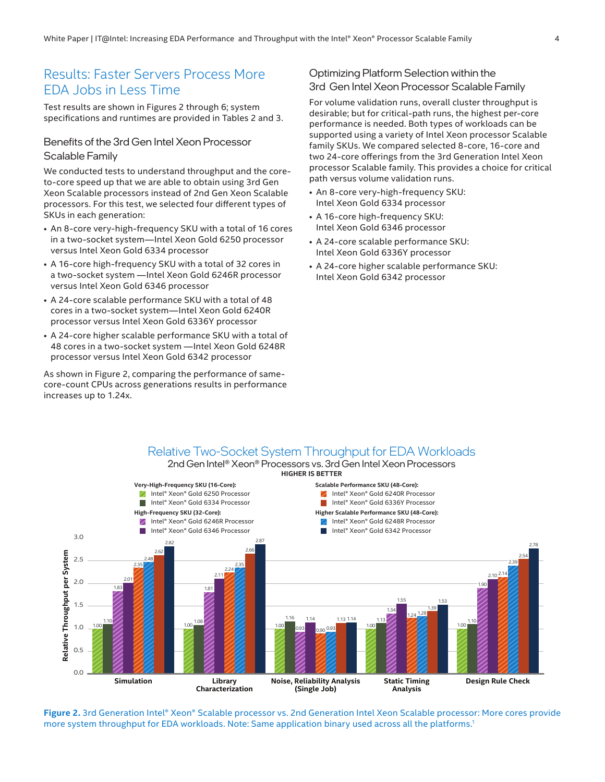## <span id="page-3-0"></span>Results: Faster Servers Process More EDA Jobs in Less Time

Test results are shown in Figures 2 through 6; system specifications and runtimes are provided in Tables 2 and 3.

## Benefits of the 3rd Gen Intel Xeon Processor Scalable Family

We conducted tests to understand throughput and the coreto-core speed up that we are able to obtain using 3rd Gen Xeon Scalable processors instead of 2nd Gen Xeon Scalable processors. For this test, we selected four different types of SKUs in each generation:

- An 8-core very-high-frequency SKU with a total of 16 cores in a two-socket system—Intel Xeon Gold 6250 processor versus Intel Xeon Gold 6334 processor
- A 16-core high-frequency SKU with a total of 32 cores in a two-socket system —Intel Xeon Gold 6246R processor versus Intel Xeon Gold 6346 processor
- A 24-core scalable performance SKU with a total of 48 cores in a two-socket system—Intel Xeon Gold 6240R processor versus Intel Xeon Gold 6336Y processor
- A 24-core higher scalable performance SKU with a total of 48 cores in a two-socket system —Intel Xeon Gold 6248R processor versus Intel Xeon Gold 6342 processor

As shown in Figure 2, comparing the performance of samecore-count CPUs across generations results in performance increases up to 1.24x.

## Optimizing Platform Selection within the 3rd Gen Intel Xeon Processor Scalable Family

For volume validation runs, overall cluster throughput is desirable; but for critical-path runs, the highest per-core performance is needed. Both types of workloads can be supported using a variety of Intel Xeon processor Scalable family SKUs. We compared selected 8-core, 16-core and two 24-core offerings from the 3rd Generation Intel Xeon processor Scalable family. This provides a choice for critical path versus volume validation runs.

- An 8-core very-high-frequency SKU: Intel Xeon Gold 6334 processor
- A 16-core high-frequency SKU: Intel Xeon Gold 6346 processor
- A 24-core scalable performance SKU: Intel Xeon Gold 6336Y processor
- A 24-core higher scalable performance SKU: Intel Xeon Gold 6342 processor

## Relative Two-Socket System Throughput for EDA Workloads

2nd Gen Intel® Xeon® Processors vs. 3rd Gen Intel Xeon Processors **HIGHER IS BETTER**



**Figure 2.** 3rd Generation Intel® Xeon® Scalable processor vs. 2nd Generation Intel Xeon Scalable processor: More cores provide more system throughput for EDA workloads. Note: Same application binary used across all the platforms.[1](#page-6-0)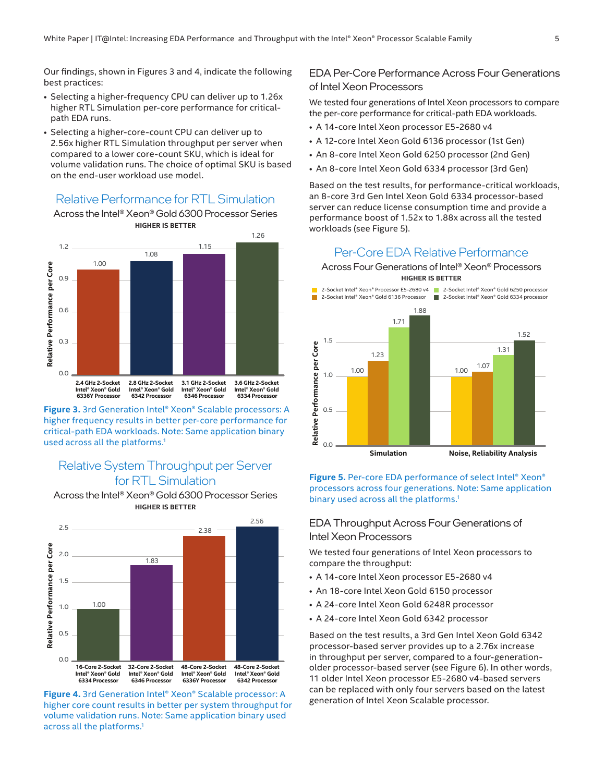Our findings, shown in Figures 3 and 4, indicate the following best practices:

- Selecting a higher-frequency CPU can deliver up to 1.26x higher RTL Simulation per-core performance for criticalpath EDA runs.
- Selecting a higher-core-count CPU can deliver up to 2.56x higher RTL Simulation throughput per server when compared to a lower core-count SKU, which is ideal for volume validation runs. The choice of optimal SKU is based on the end-user workload use model.

## Relative Performance for RTL Simulation

Across the Intel® Xeon® Gold 6300 Processor Series **HIGHER IS BETTER**



**Figure 3.** 3rd Generation Intel® Xeon® Scalable processors: A higher frequency results in better per-core performance for critical-path EDA workloads. Note: Same application binary used across all the platforms.<sup>1</sup>

## Relative System Throughput per Server for RTL Simulation

Across the Intel® Xeon® Gold 6300 Processor Series **HIGHER IS BETTER**



**Figure 4.** 3rd Generation Intel® Xeon® Scalable processor: A higher core count results in better per system throughput for volume validation runs. Note: Same application binary used across all the platforms.<sup>1</sup>

## EDA Per-Core Performance Across Four Generations of Intel Xeon Processors

We tested four generations of Intel Xeon processors to compare the per-core performance for critical-path EDA workloads.

- A 14-core Intel Xeon processor E5-2680 v4
- A 12-core Intel Xeon Gold 6136 processor (1st Gen)
- An 8-core Intel Xeon Gold 6250 processor (2nd Gen)
- An 8-core Intel Xeon Gold 6334 processor (3rd Gen)

Based on the test results, for performance-critical workloads, an 8-core 3rd Gen Intel Xeon Gold 6334 processor-based server can reduce license consumption time and provide a performance boost of 1.52x to 1.88x across all the tested workloads (see Figure 5).

#### Per-Core EDA Relative Performance

Across Four Generations of Intel® Xeon® Processors **HIGHER IS BETTER**



#### **Figure 5.** Per-core EDA performance of select Intel® Xeon® processors across four generations. Note: Same application binary used across all the platforms.<sup>1</sup>

## EDA Throughput Across Four Generations of Intel Xeon Processors

We tested four generations of Intel Xeon processors to compare the throughput:

- A 14-core Intel Xeon processor E5-2680 v4
- An 18-core Intel Xeon Gold 6150 processor
- A 24-core Intel Xeon Gold 6248R processor
- A 24-core Intel Xeon Gold 6342 processor

Based on the test results, a 3rd Gen Intel Xeon Gold 6342 processor-based server provides up to a 2.76x increase in throughput per server, compared to a four-generationolder processor-based server (see Figure 6). In other words, 11 older Intel Xeon processor E5-2680 v4-based servers can be replaced with only four servers based on the latest generation of Intel Xeon Scalable processor.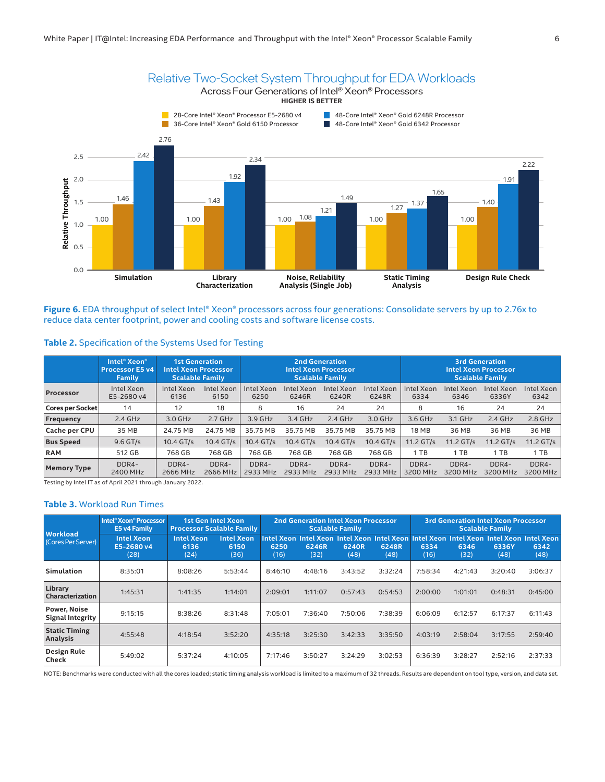

Figure 6. EDA throughput of select Intel® Xeon® processors across four generations: Consolidate servers by up to 2.76x to reduce data center footprint, power and cooling costs and software license costs.

#### <span id="page-5-0"></span>**Table 2.** Specification of the Systems Used for Testing

|                    | Intel <sup>®</sup> Xeon <sup>®</sup><br><b>Processor E5 v4</b><br>Family | 1st Generation<br><b>Intel Xeon Processor</b><br><b>Scalable Family</b> |                    |                    | 2nd Generation<br><b>Scalable Family</b> | <b>Intel Xeon Processor</b> |                     | <b>3rd Generation</b><br><b>Intel Xeon Processor</b><br><b>Scalable Family</b> |                    |                     |                    |  |
|--------------------|--------------------------------------------------------------------------|-------------------------------------------------------------------------|--------------------|--------------------|------------------------------------------|-----------------------------|---------------------|--------------------------------------------------------------------------------|--------------------|---------------------|--------------------|--|
| Processor          | Intel Xeon<br>E5-2680 v4                                                 | Intel Xeon<br>6136                                                      | Intel Xeon<br>6150 | Intel Xeon<br>6250 | Intel Xeon<br>6246R                      | <b>Intel Xeon</b><br>6240R  | Intel Xeon<br>6248R | Intel Xeon<br>6334                                                             | Intel Xeon<br>6346 | Intel Xeon<br>6336Y | Intel Xeon<br>6342 |  |
| Cores per Socket   | 14                                                                       | 12                                                                      | 18                 | 8                  | 16                                       | 24                          | 24                  | 8                                                                              | 16                 | 24                  | 24                 |  |
| Frequency          | $2.4$ GHz                                                                | 3.0 GHz                                                                 | $2.7$ GHz          | 3.9 GHz            | 3.4 GHz                                  | $2.4$ GHz                   | 3.0 GHz             | 3.6 GHz                                                                        | 3.1 GHz            | $2.4$ GHz           | 2.8 GHz            |  |
| Cache per CPU      | 35 MB                                                                    | 24.75 MB                                                                | 24.75 MB           | 35.75 MB           | 35.75 MB                                 | 35.75 MB                    | 35.75 MB            | <b>18 MB</b>                                                                   | 36 MB              | 36 MB               | 36 MB              |  |
| <b>Bus Speed</b>   | $9.6$ GT/s                                                               | 10.4 GT/s                                                               | 10.4 GT/s          | $10.4$ GT/s        | $10.4$ GT/s                              | 10.4 GT/s                   | $10.4$ GT/s         | 11.2 GT/s                                                                      | $11.2$ GT/s        | 11.2 GT/s           | 11.2 GT/s          |  |
| <b>RAM</b>         | 512 GB                                                                   | 768 GB                                                                  | 768 GB             | 768 GB             | 768 GB                                   | 768 GB                      | 768 GB              | 1 TB                                                                           | 1 TB               | 1 TB                | 1 TB               |  |
| <b>Memory Type</b> | DDR4-<br>2400 MHz                                                        | DDR4-<br>2666 MHz                                                       | DDR4-<br>2666 MHz  | DDR4-<br>2933 MHz  | DDR4-<br>2933 MHz                        | DDR4-<br>2933 MHz           | DDR4-<br>2933 MHz   | DDR4-<br>3200 MHz                                                              | DDR4-<br>3200 MHz  | DDR4-<br>3200 MHz   | DDR4-<br>3200 MHz  |  |

Testing by Intel IT as of April 2021 through January 2022.

#### **Table 3.** Workload Run Times

| <b>Workload</b><br>(Cores Per Server)          | Intel <sup>®</sup> Xeon <sup>®</sup> Processor<br>E5 v4 Family | <b>1st Gen Intel Xeon</b><br><b>Processor Scalable Family</b> |                                   |              |               | <b>2nd Generation Intel Xeon Processor</b><br><b>Scalable Family</b> |               | <b>3rd Generation Intel Xeon Processor</b><br><b>Scalable Family</b> |              |                                                                                                          |              |
|------------------------------------------------|----------------------------------------------------------------|---------------------------------------------------------------|-----------------------------------|--------------|---------------|----------------------------------------------------------------------|---------------|----------------------------------------------------------------------|--------------|----------------------------------------------------------------------------------------------------------|--------------|
|                                                | <b>Intel Xeon</b><br>E5-2680 v4<br>(28)                        | <b>Intel Xeon</b><br>6136<br>(24)                             | <b>Intel Xeon</b><br>6150<br>(36) | 6250<br>(16) | 6246R<br>(32) | 6240R<br>(48)                                                        | 6248R<br>(48) | 6334<br>(16)                                                         | 6346<br>(32) | Intel Xeon Intel Xeon Intel Xeon Intel Xeon Intel Xeon Intel Xeon Intel Xeon Intel Xeon<br>6336Y<br>(48) | 6342<br>(48) |
| <b>Simulation</b>                              | 8:35:01                                                        | 8:08:26                                                       | 5:53:44                           | 8:46:10      | 4:48:16       | 3:43:52                                                              | 3:32:24       | 7:58:34                                                              | 4:21:43      | 3:20:40                                                                                                  | 3:06:37      |
| Library<br>Characterization                    | 1:45:31                                                        | 1:41:35                                                       | 1:14:01                           | 2:09:01      | 1:11:07       | 0:57:43                                                              | 0:54:53       | 2:00:00                                                              | 1:01:01      | 0:48:31                                                                                                  | 0:45:00      |
| <b>Power, Noise</b><br><b>Signal Integrity</b> | 9:15:15                                                        | 8:38:26                                                       | 8:31:48                           | 7:05:01      | 7:36:40       | 7:50:06                                                              | 7:38:39       | 6:06:09                                                              | 6:12:57      | 6:17:37                                                                                                  | 6:11:43      |
| <b>Static Timing</b><br>Analysis               | 4:55:48                                                        | 4:18:54                                                       | 3:52:20                           | 4:35:18      | 3:25:30       | 3:42:33                                                              | 3:35:50       | 4:03:19                                                              | 2:58:04      | 3:17:55                                                                                                  | 2:59:40      |
| Design Rule<br>Check                           | 5:49:02                                                        | 5:37:24                                                       | 4:10:05                           | 7:17:46      | 3:50:27       | 3:24:29                                                              | 3:02:53       | 6:36:39                                                              | 3:28:27      | 2:52:16                                                                                                  | 2:37:33      |

NOTE: Benchmarks were conducted with all the cores loaded; static timing analysis workload is limited to a maximum of 32 threads. Results are dependent on tool type, version, and data set.